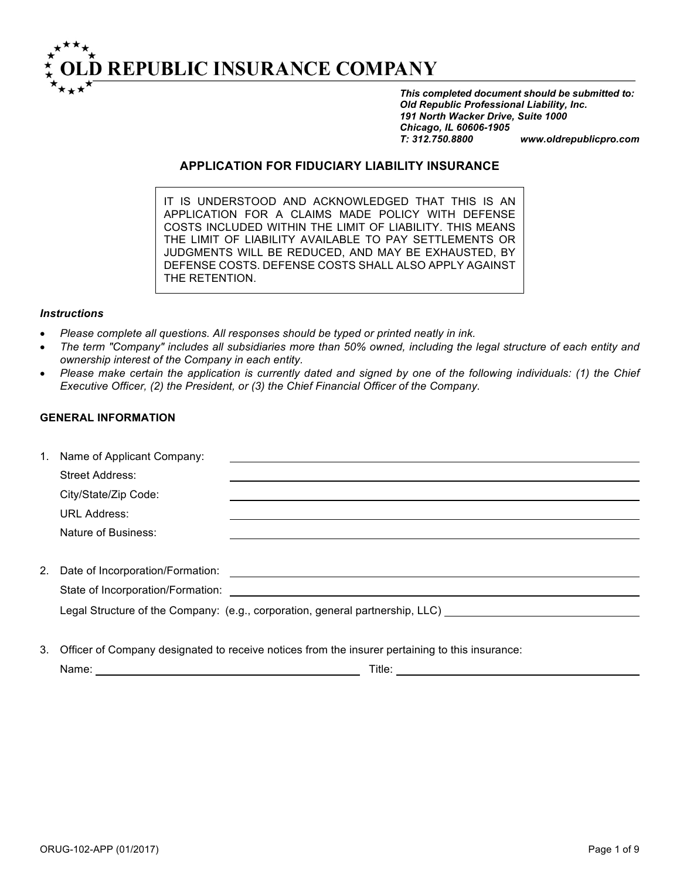

*This completed document should be submitted to: Old Republic Professional Liability, Inc. 191 North Wacker Drive, Suite 1000 Chicago, IL 60606-1905 T: 312.750.8800 www.oldrepublicpro.com*

## **APPLICATION FOR FIDUCIARY LIABILITY INSURANCE**

IT IS UNDERSTOOD AND ACKNOWLEDGED THAT THIS IS AN APPLICATION FOR A CLAIMS MADE POLICY WITH DEFENSE COSTS INCLUDED WITHIN THE LIMIT OF LIABILITY. THIS MEANS THE LIMIT OF LIABILITY AVAILABLE TO PAY SETTLEMENTS OR JUDGMENTS WILL BE REDUCED, AND MAY BE EXHAUSTED, BY DEFENSE COSTS. DEFENSE COSTS SHALL ALSO APPLY AGAINST THE RETENTION.

#### *Instructions*

- *Please complete all questions. All responses should be typed or printed neatly in ink.*
- *The term "Company" includes all subsidiaries more than 50% owned, including the legal structure of each entity and ownership interest of the Company in each entity.*
- *Please make certain the application is currently dated and signed by one of the following individuals: (1) the Chief Executive Officer, (2) the President, or (3) the Chief Financial Officer of the Company.*

#### **GENERAL INFORMATION**

| 1. | Name of Applicant Company:          |                                                                               |
|----|-------------------------------------|-------------------------------------------------------------------------------|
|    | Street Address:                     |                                                                               |
|    | City/State/Zip Code:                |                                                                               |
|    | <b>URL Address:</b>                 |                                                                               |
|    | Nature of Business:                 |                                                                               |
|    |                                     |                                                                               |
|    | 2. Date of Incorporation/Formation: |                                                                               |
|    | State of Incorporation/Formation:   |                                                                               |
|    |                                     | Legal Structure of the Company: (e.g., corporation, general partnership, LLC) |
|    |                                     |                                                                               |

3. Officer of Company designated to receive notices from the insurer pertaining to this insurance:

| Name: | $-1.1$<br>Title: |
|-------|------------------|
|       |                  |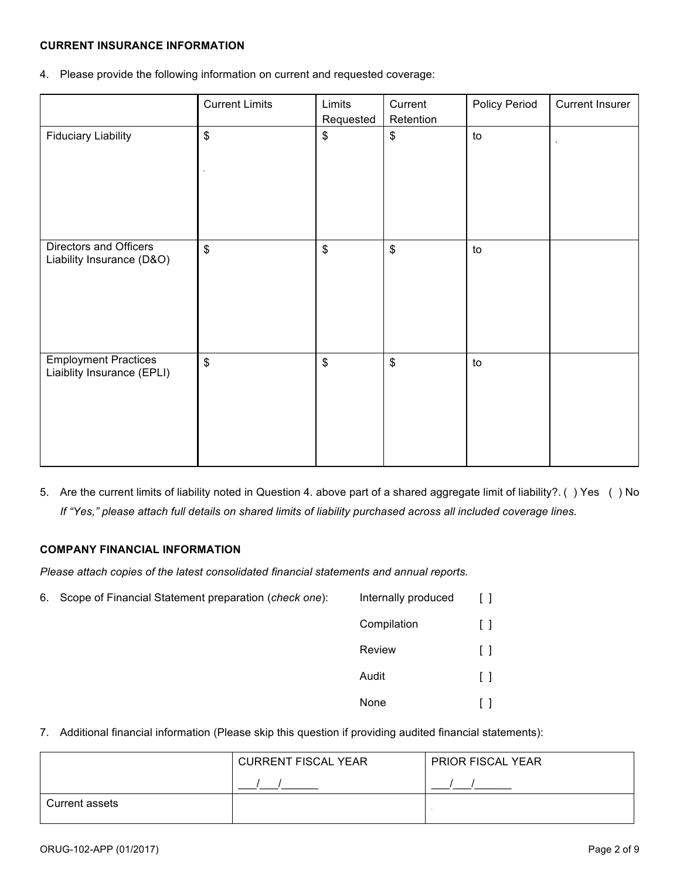# **CURRENT INSURANCE INFORMATION**

4. Please provide the following information on current and requested coverage:

|                                                           | <b>Current Limits</b>     | Limits                     | Current                   | Policy Period | <b>Current Insurer</b> |
|-----------------------------------------------------------|---------------------------|----------------------------|---------------------------|---------------|------------------------|
|                                                           |                           | Requested                  | Retention                 |               |                        |
| <b>Fiduciary Liability</b>                                | $\boldsymbol{\$}$         | \$                         | \$                        | to            |                        |
| Directors and Officers<br>Liability Insurance (D&O)       | $\boldsymbol{\$}$         | $\boldsymbol{\mathsf{\$}}$ | $\,$                      | to            |                        |
| <b>Employment Practices</b><br>Liaiblity Insurance (EPLI) | $\boldsymbol{\mathsf{S}}$ | $\boldsymbol{\mathsf{\$}}$ | $\boldsymbol{\mathsf{S}}$ | to            |                        |

5. Are the current limits of liability noted in Question 4. above part of a shared aggregate limit of liability?. ( ) Yes ( ) No *If "Yes," please attach full details on shared limits of liability purchased across all included coverage lines.*

# **COMPANY FINANCIAL INFORMATION**

*Please attach copies of the latest consolidated financial statements and annual reports.*

6. Scope of Financial Statement preparation (*check one*): Internally produced [ ] Compilation [ ] Review [ ]

Audit [ ] None [ ]

7. Additional financial information (Please skip this question if providing audited financial statements):

|                | <b>CURRENT FISCAL YEAR</b> | <b>PRIOR FISCAL YEAR</b> |  |  |
|----------------|----------------------------|--------------------------|--|--|
|                |                            |                          |  |  |
| Current assets |                            |                          |  |  |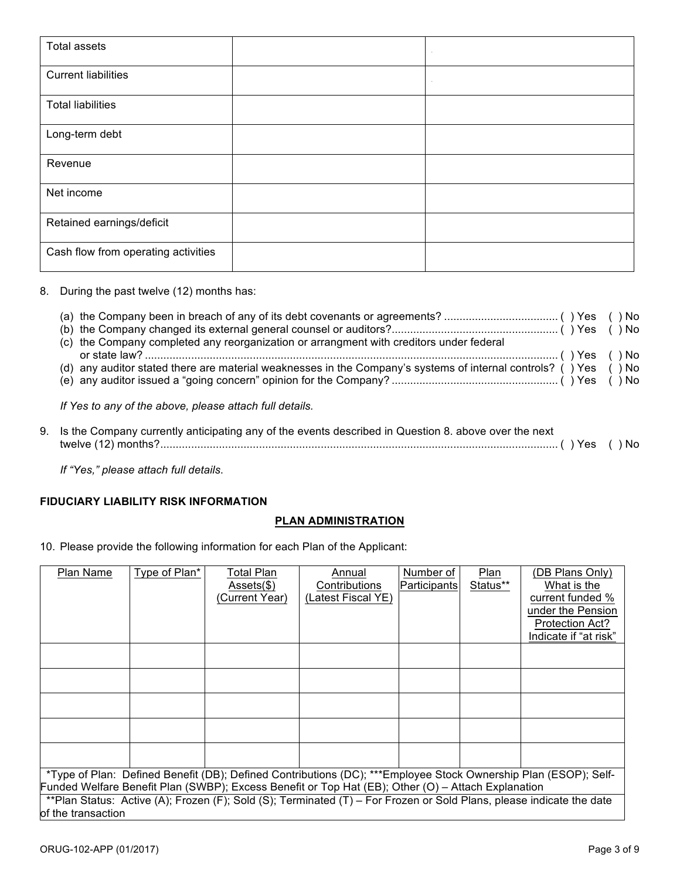| <b>Total assets</b>                 | $\sim$ |
|-------------------------------------|--------|
| <b>Current liabilities</b>          | $\sim$ |
| <b>Total liabilities</b>            |        |
| Long-term debt                      |        |
| Revenue                             |        |
| Net income                          |        |
| Retained earnings/deficit           |        |
| Cash flow from operating activities |        |

8. During the past twelve (12) months has:

| (c) the Company completed any reorganization or arrangment with creditors under federal                          |  |
|------------------------------------------------------------------------------------------------------------------|--|
|                                                                                                                  |  |
| (d) any auditor stated there are material weaknesses in the Company's systems of internal controls? () Yes () No |  |
|                                                                                                                  |  |
|                                                                                                                  |  |

*If Yes to any of the above, please attach full details.*

| 9. Is the Company currently anticipating any of the events described in Question 8. above over the next |  |
|---------------------------------------------------------------------------------------------------------|--|
|                                                                                                         |  |
|                                                                                                         |  |

*If "Yes," please attach full details*.

#### **FIDUCIARY LIABILITY RISK INFORMATION**

# **PLAN ADMINISTRATION**

10. Please provide the following information for each Plan of the Applicant:

| Plan Name          | Type of Plan*                                                                                                        | Total Plan     | Annual             | Number of    | Plan     | (DB Plans Only)        |  |
|--------------------|----------------------------------------------------------------------------------------------------------------------|----------------|--------------------|--------------|----------|------------------------|--|
|                    |                                                                                                                      | Assets(\$)     | Contributions      | Participants | Status** | What is the            |  |
|                    |                                                                                                                      | (Current Year) | (Latest Fiscal YE) |              |          | current funded %       |  |
|                    |                                                                                                                      |                |                    |              |          | under the Pension      |  |
|                    |                                                                                                                      |                |                    |              |          | <b>Protection Act?</b> |  |
|                    |                                                                                                                      |                |                    |              |          | Indicate if "at risk"  |  |
|                    |                                                                                                                      |                |                    |              |          |                        |  |
|                    |                                                                                                                      |                |                    |              |          |                        |  |
|                    |                                                                                                                      |                |                    |              |          |                        |  |
|                    |                                                                                                                      |                |                    |              |          |                        |  |
|                    |                                                                                                                      |                |                    |              |          |                        |  |
|                    |                                                                                                                      |                |                    |              |          |                        |  |
|                    |                                                                                                                      |                |                    |              |          |                        |  |
|                    | *Type of Plan: Defined Benefit (DB); Defined Contributions (DC); ***Employee Stock Ownership Plan (ESOP); Self-      |                |                    |              |          |                        |  |
|                    | Funded Welfare Benefit Plan (SWBP); Excess Benefit or Top Hat (EB); Other (O) - Attach Explanation                   |                |                    |              |          |                        |  |
|                    | **Plan Status: Active (A); Frozen (F); Sold (S); Terminated (T) – For Frozen or Sold Plans, please indicate the date |                |                    |              |          |                        |  |
| of the transaction |                                                                                                                      |                |                    |              |          |                        |  |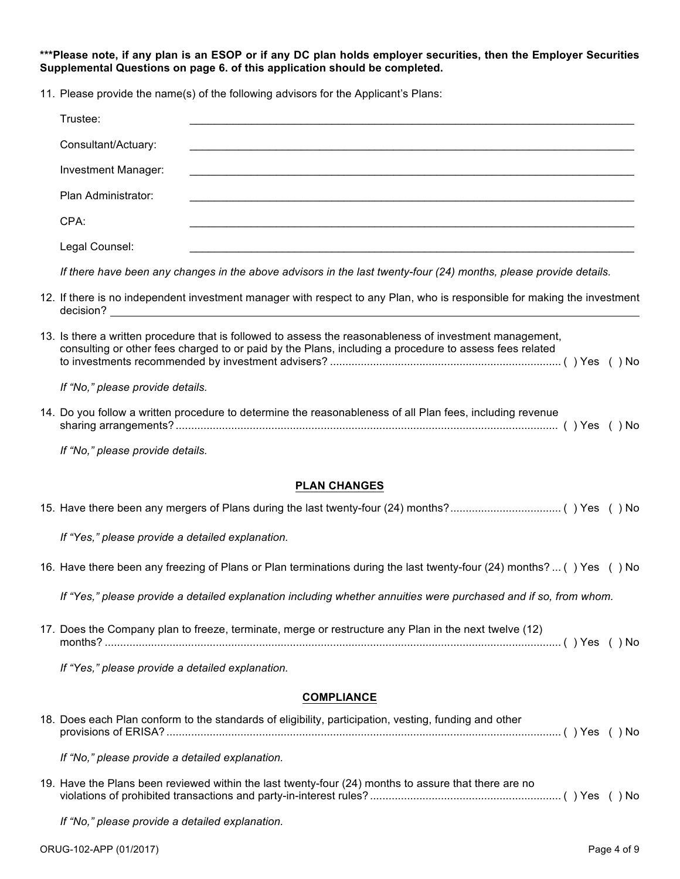**\*\*\*Please note, if any plan is an ESOP or if any DC plan holds employer securities, then the Employer Securities Supplemental Questions on page 6. of this application should be completed.** 

11. Please provide the name(s) of the following advisors for the Applicant's Plans:

| Trustee:                         |                                                                                                                                                                                                                    |
|----------------------------------|--------------------------------------------------------------------------------------------------------------------------------------------------------------------------------------------------------------------|
| Consultant/Actuary:              |                                                                                                                                                                                                                    |
| <b>Investment Manager:</b>       |                                                                                                                                                                                                                    |
| Plan Administrator:              | <u> 1989 - Johann Stoff, amerikansk politiker (d. 1989)</u>                                                                                                                                                        |
| CPA:                             | <u> 1989 - Johann Stoff, amerikansk politiker (d. 1989)</u>                                                                                                                                                        |
| Legal Counsel:                   |                                                                                                                                                                                                                    |
|                                  | If there have been any changes in the above advisors in the last twenty-four (24) months, please provide details.                                                                                                  |
|                                  | 12. If there is no independent investment manager with respect to any Plan, who is responsible for making the investment                                                                                           |
|                                  | 13. Is there a written procedure that is followed to assess the reasonableness of investment management,<br>consulting or other fees charged to or paid by the Plans, including a procedure to assess fees related |
| If "No," please provide details. |                                                                                                                                                                                                                    |
|                                  | 14. Do you follow a written procedure to determine the reasonableness of all Plan fees, including revenue                                                                                                          |

sharing arrangements? ............................................................................................................................ ( ) Yes ( ) No

*If "No," please provide details.*

#### **PLAN CHANGES**

| <b>COMPLIANCE</b>                                                                                                    |
|----------------------------------------------------------------------------------------------------------------------|
| If "Yes," please provide a detailed explanation.                                                                     |
| 17. Does the Company plan to freeze, terminate, merge or restructure any Plan in the next twelve (12)                |
| If "Yes," please provide a detailed explanation including whether annuities were purchased and if so, from whom.     |
| 16. Have there been any freezing of Plans or Plan terminations during the last twenty-four (24) months? () Yes () No |
| If "Yes," please provide a detailed explanation.                                                                     |
|                                                                                                                      |

| 18. Does each Plan conform to the standards of eligibility, participation, vesting, funding and other |  |
|-------------------------------------------------------------------------------------------------------|--|
| If "No," please provide a detailed explanation.                                                       |  |

19. Have the Plans been reviewed within the last twenty-four (24) months to assure that there are no violations of prohibited transactions and party-in-interest rules? .............................................................. ( ) Yes ( ) No

*If "No," please provide a detailed explanation.*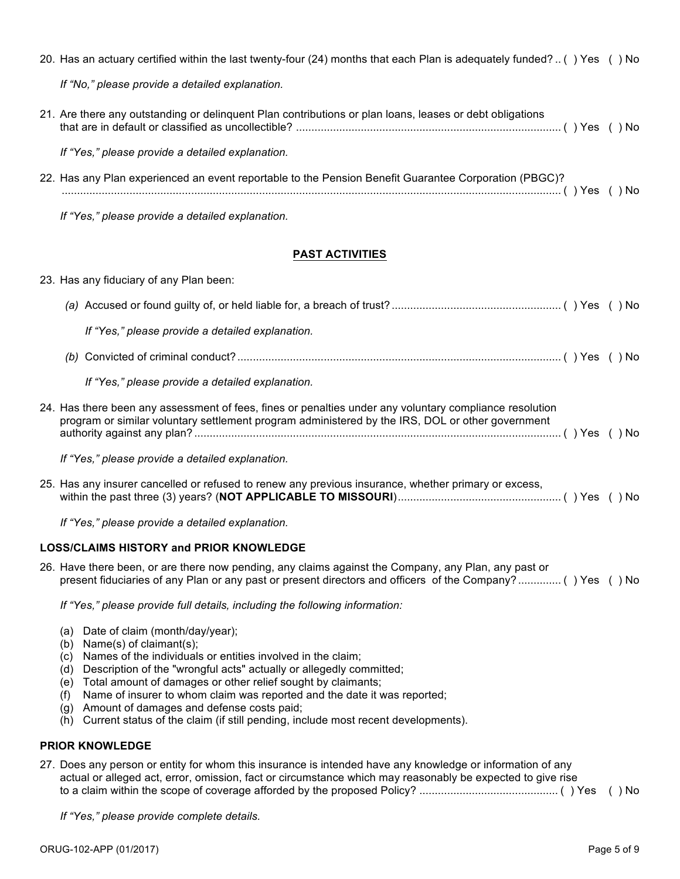| 20. Has an actuary certified within the last twenty-four (24) months that each Plan is adequately funded? () Yes () No                                                                                             |  |
|--------------------------------------------------------------------------------------------------------------------------------------------------------------------------------------------------------------------|--|
| If "No," please provide a detailed explanation.                                                                                                                                                                    |  |
| 21. Are there any outstanding or delinquent Plan contributions or plan loans, leases or debt obligations                                                                                                           |  |
| If "Yes," please provide a detailed explanation.                                                                                                                                                                   |  |
| 22. Has any Plan experienced an event reportable to the Pension Benefit Guarantee Corporation (PBGC)?                                                                                                              |  |
| If "Yes," please provide a detailed explanation.                                                                                                                                                                   |  |
| <b>PAST ACTIVITIES</b>                                                                                                                                                                                             |  |
| 23. Has any fiduciary of any Plan been:                                                                                                                                                                            |  |
|                                                                                                                                                                                                                    |  |
| If "Yes," please provide a detailed explanation.                                                                                                                                                                   |  |
|                                                                                                                                                                                                                    |  |
| If "Yes," please provide a detailed explanation.                                                                                                                                                                   |  |
| 24. Has there been any assessment of fees, fines or penalties under any voluntary compliance resolution<br>program or similar voluntary settlement program administered by the IRS, DOL or other government        |  |
| If "Yes," please provide a detailed explanation.                                                                                                                                                                   |  |
| 25. Has any insurer cancelled or refused to renew any previous insurance, whether primary or excess,                                                                                                               |  |
| If "Yes," please provide a detailed explanation.                                                                                                                                                                   |  |
| <b>LOSS/CLAIMS HISTORY and PRIOR KNOWLEDGE</b>                                                                                                                                                                     |  |
| 26. Have there been, or are there now pending, any claims against the Company, any Plan, any past or<br>present fiduciaries of any Plan or any past or present directors and officers of the Company? () Yes () No |  |
| If "Yes," please provide full details, including the following information:                                                                                                                                        |  |
| Date of claim (month/day/year);<br>(a)<br>Name(s) of claimant(s);<br>(b)<br>Names of the individuals or entities involved in the claim;<br>(c)                                                                     |  |

- (d) Description of the "wrongful acts" actually or allegedly committed;
- (e) Total amount of damages or other relief sought by claimants;
- (f) Name of insurer to whom claim was reported and the date it was reported;
- (g) Amount of damages and defense costs paid;
- (h) Current status of the claim (if still pending, include most recent developments).

# **PRIOR KNOWLEDGE**

| 27. Does any person or entity for whom this insurance is intended have any knowledge or information of any |  |  |  |  |
|------------------------------------------------------------------------------------------------------------|--|--|--|--|
| actual or alleged act, error, omission, fact or circumstance which may reasonably be expected to give rise |  |  |  |  |
|                                                                                                            |  |  |  |  |

*If "Yes," please provide complete details.*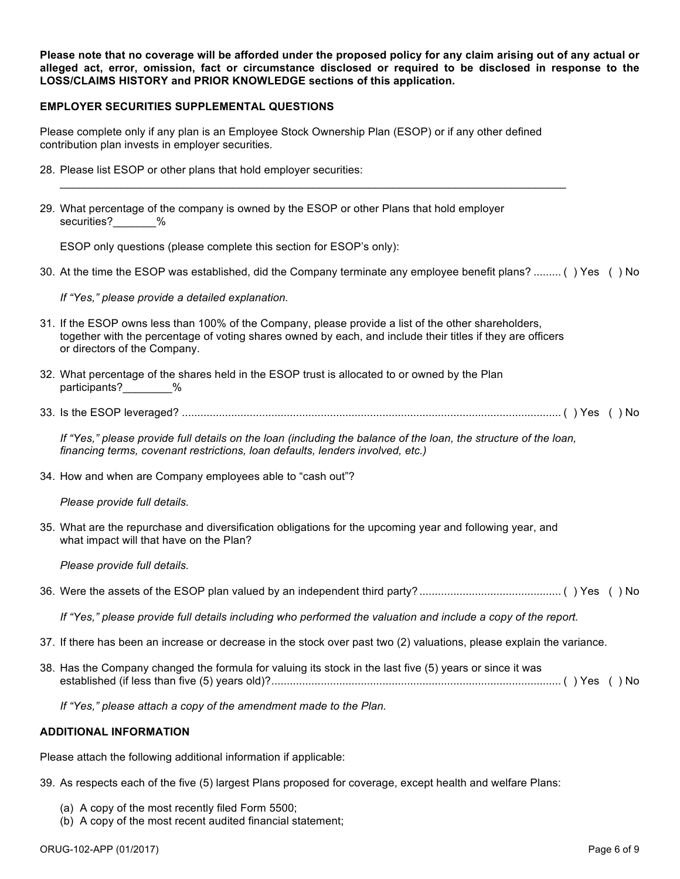**Please note that no coverage will be afforded under the proposed policy for any claim arising out of any actual or alleged act, error, omission, fact or circumstance disclosed or required to be disclosed in response to the LOSS/CLAIMS HISTORY and PRIOR KNOWLEDGE sections of this application.**

#### **EMPLOYER SECURITIES SUPPLEMENTAL QUESTIONS**

Please complete only if any plan is an Employee Stock Ownership Plan (ESOP) or if any other defined contribution plan invests in employer securities.

 $\mathcal{L}_\text{max}$  , and the contribution of the contribution of the contribution of the contribution of the contribution of the contribution of the contribution of the contribution of the contribution of the contribution of t

- 28. Please list ESOP or other plans that hold employer securities:
- 29. What percentage of the company is owned by the ESOP or other Plans that hold employer securities? %

ESOP only questions (please complete this section for ESOP's only):

30. At the time the ESOP was established, did the Company terminate any employee benefit plans? ......... ( ) Yes ( ) No

*If "Yes," please provide a detailed explanation.*

- 31. If the ESOP owns less than 100% of the Company, please provide a list of the other shareholders, together with the percentage of voting shares owned by each, and include their titles if they are officers or directors of the Company.
- 32. What percentage of the shares held in the ESOP trust is allocated to or owned by the Plan participants? %
- 33. Is the ESOP leveraged? ........................................................................................................................... ( ) Yes ( ) No

*If "Yes," please provide full details on the loan (including the balance of the loan, the structure of the loan, financing terms, covenant restrictions, loan defaults, lenders involved, etc.)*

34. How and when are Company employees able to "cash out"?

*Please provide full details.*

35. What are the repurchase and diversification obligations for the upcoming year and following year, and what impact will that have on the Plan?

*Please provide full details.*

|--|--|--|--|--|--|--|

*If "Yes," please provide full details including who performed the valuation and include a copy of the report.*

- 37. If there has been an increase or decrease in the stock over past two (2) valuations, please explain the variance.
- 38. Has the Company changed the formula for valuing its stock in the last five (5) years or since it was established (if less than five (5) years old)?.............................................................................................. ( ) Yes ( ) No

*If "Yes," please attach a copy of the amendment made to the Plan.*

#### **ADDITIONAL INFORMATION**

Please attach the following additional information if applicable:

39. As respects each of the five (5) largest Plans proposed for coverage, except health and welfare Plans:

- (a) A copy of the most recently filed Form 5500;
- (b) A copy of the most recent audited financial statement;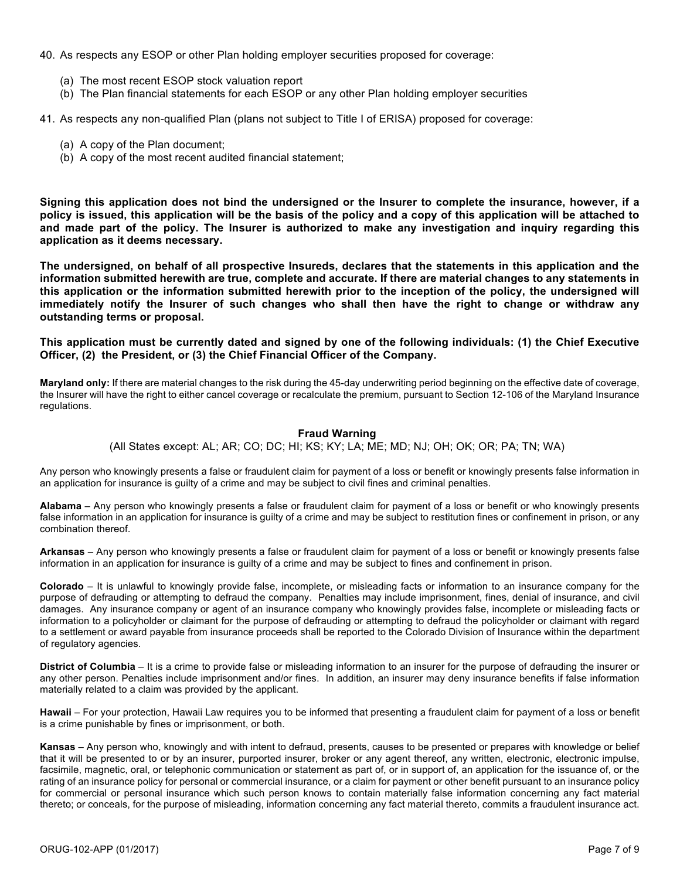- 40. As respects any ESOP or other Plan holding employer securities proposed for coverage:
	- (a) The most recent ESOP stock valuation report
	- (b) The Plan financial statements for each ESOP or any other Plan holding employer securities

41. As respects any non-qualified Plan (plans not subject to Title I of ERISA) proposed for coverage:

- (a) A copy of the Plan document;
- (b) A copy of the most recent audited financial statement;

**Signing this application does not bind the undersigned or the Insurer to complete the insurance, however, if a policy is issued, this application will be the basis of the policy and a copy of this application will be attached to and made part of the policy. The Insurer is authorized to make any investigation and inquiry regarding this application as it deems necessary.**

**The undersigned, on behalf of all prospective Insureds, declares that the statements in this application and the information submitted herewith are true, complete and accurate. If there are material changes to any statements in this application or the information submitted herewith prior to the inception of the policy, the undersigned will immediately notify the Insurer of such changes who shall then have the right to change or withdraw any outstanding terms or proposal.**

**This application must be currently dated and signed by one of the following individuals: (1) the Chief Executive Officer, (2) the President, or (3) the Chief Financial Officer of the Company.**

**Maryland only:** If there are material changes to the risk during the 45-day underwriting period beginning on the effective date of coverage, the Insurer will have the right to either cancel coverage or recalculate the premium, pursuant to Section 12-106 of the Maryland Insurance regulations.

### **Fraud Warning**

(All States except: AL; AR; CO; DC; HI; KS; KY; LA; ME; MD; NJ; OH; OK; OR; PA; TN; WA)

Any person who knowingly presents a false or fraudulent claim for payment of a loss or benefit or knowingly presents false information in an application for insurance is guilty of a crime and may be subject to civil fines and criminal penalties.

**Alabama** – Any person who knowingly presents a false or fraudulent claim for payment of a loss or benefit or who knowingly presents false information in an application for insurance is guilty of a crime and may be subject to restitution fines or confinement in prison, or any combination thereof.

**Arkansas** – Any person who knowingly presents a false or fraudulent claim for payment of a loss or benefit or knowingly presents false information in an application for insurance is guilty of a crime and may be subject to fines and confinement in prison.

**Colorado** – It is unlawful to knowingly provide false, incomplete, or misleading facts or information to an insurance company for the purpose of defrauding or attempting to defraud the company. Penalties may include imprisonment, fines, denial of insurance, and civil damages. Any insurance company or agent of an insurance company who knowingly provides false, incomplete or misleading facts or information to a policyholder or claimant for the purpose of defrauding or attempting to defraud the policyholder or claimant with regard to a settlement or award payable from insurance proceeds shall be reported to the Colorado Division of Insurance within the department of regulatory agencies.

**District of Columbia** – It is a crime to provide false or misleading information to an insurer for the purpose of defrauding the insurer or any other person. Penalties include imprisonment and/or fines. In addition, an insurer may deny insurance benefits if false information materially related to a claim was provided by the applicant.

**Hawaii** – For your protection, Hawaii Law requires you to be informed that presenting a fraudulent claim for payment of a loss or benefit is a crime punishable by fines or imprisonment, or both.

**Kansas** – Any person who, knowingly and with intent to defraud, presents, causes to be presented or prepares with knowledge or belief that it will be presented to or by an insurer, purported insurer, broker or any agent thereof, any written, electronic, electronic impulse, facsimile, magnetic, oral, or telephonic communication or statement as part of, or in support of, an application for the issuance of, or the rating of an insurance policy for personal or commercial insurance, or a claim for payment or other benefit pursuant to an insurance policy for commercial or personal insurance which such person knows to contain materially false information concerning any fact material thereto; or conceals, for the purpose of misleading, information concerning any fact material thereto, commits a fraudulent insurance act.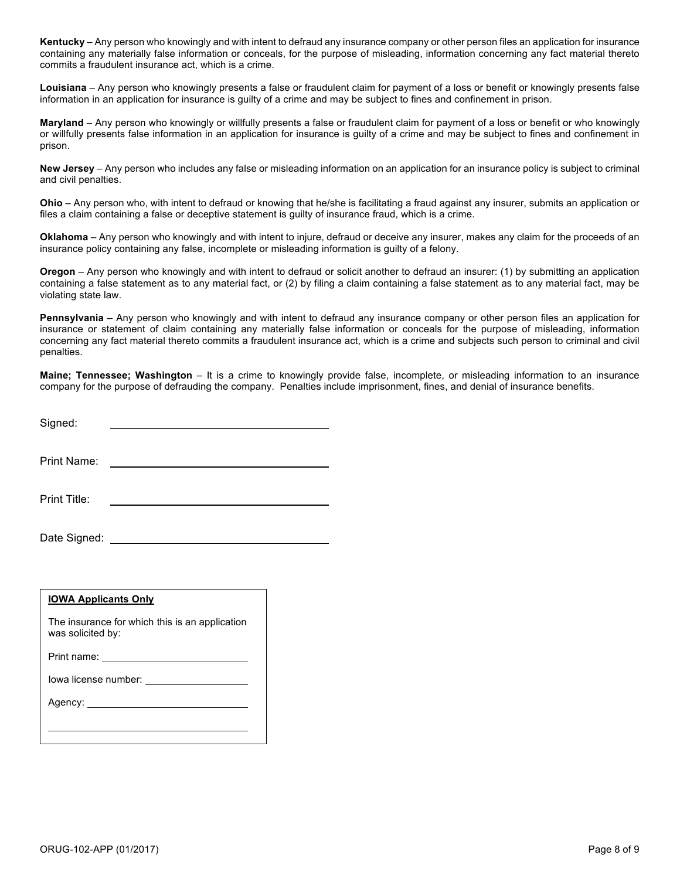**Kentucky** – Any person who knowingly and with intent to defraud any insurance company or other person files an application for insurance containing any materially false information or conceals, for the purpose of misleading, information concerning any fact material thereto commits a fraudulent insurance act, which is a crime.

**Louisiana** – Any person who knowingly presents a false or fraudulent claim for payment of a loss or benefit or knowingly presents false information in an application for insurance is guilty of a crime and may be subject to fines and confinement in prison.

**Maryland** – Any person who knowingly or willfully presents a false or fraudulent claim for payment of a loss or benefit or who knowingly or willfully presents false information in an application for insurance is guilty of a crime and may be subject to fines and confinement in prison.

**New Jersey** – Any person who includes any false or misleading information on an application for an insurance policy is subject to criminal and civil penalties.

**Ohio** – Any person who, with intent to defraud or knowing that he/she is facilitating a fraud against any insurer, submits an application or files a claim containing a false or deceptive statement is guilty of insurance fraud, which is a crime.

**Oklahoma** – Any person who knowingly and with intent to injure, defraud or deceive any insurer, makes any claim for the proceeds of an insurance policy containing any false, incomplete or misleading information is guilty of a felony.

**Oregon** – Any person who knowingly and with intent to defraud or solicit another to defraud an insurer: (1) by submitting an application containing a false statement as to any material fact, or (2) by filing a claim containing a false statement as to any material fact, may be violating state law.

**Pennsylvania** – Any person who knowingly and with intent to defraud any insurance company or other person files an application for insurance or statement of claim containing any materially false information or conceals for the purpose of misleading, information concerning any fact material thereto commits a fraudulent insurance act, which is a crime and subjects such person to criminal and civil penalties.

**Maine; Tennessee; Washington** – It is a crime to knowingly provide false, incomplete, or misleading information to an insurance company for the purpose of defrauding the company. Penalties include imprisonment, fines, and denial of insurance benefits.

Signed:

Print Name:

Print Title:

Date Signed: We have a state of the state of the state of the state of the state of the state of the state of the state of the state of the state of the state of the state of the state of the state of the state of the stat

#### **IOWA Applicants Only**

The insurance for which this is an application was solicited by:

Print name: \_\_\_\_\_

Iowa license number:

Agency: New York Changes and Changes and Changes and Changes and Changes and Changes and Changes and Changes and Changes and Changes and Changes and Changes and Changes and Changes and Changes and Changes and Changes and C